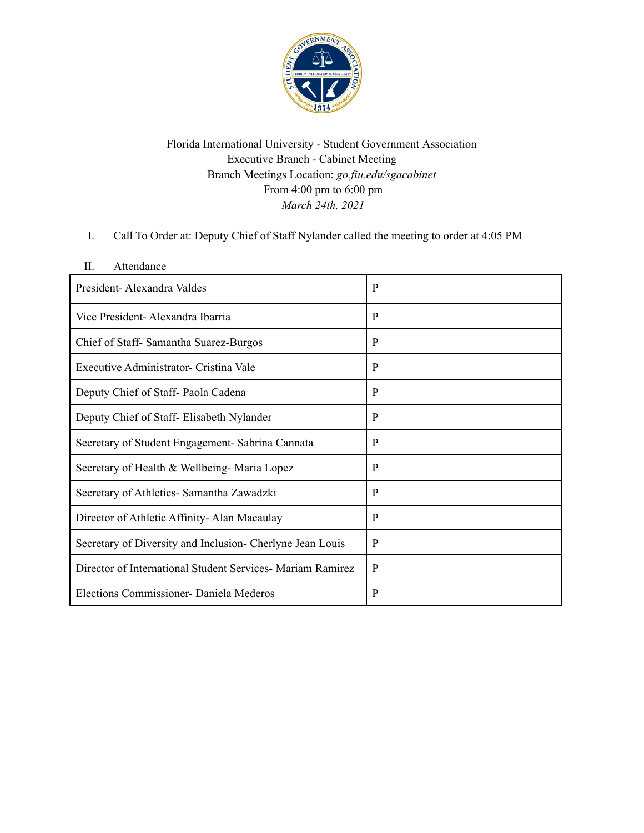

Florida International University - Student Government Association Executive Branch - Cabinet Meeting Branch Meetings Location: *go.fiu.edu/sgacabinet* From 4:00 pm to 6:00 pm *March 24th, 2021*

I. Call To Order at: Deputy Chief of Staff Nylander called the meeting to order at 4:05 PM

| $\Pi$<br>Attendance                                        |   |
|------------------------------------------------------------|---|
| President-Alexandra Valdes                                 | P |
| Vice President-Alexandra Ibarria                           | P |
| Chief of Staff-Samantha Suarez-Burgos                      | P |
| Executive Administrator- Cristina Vale                     | P |
| Deputy Chief of Staff-Paola Cadena                         | P |
| Deputy Chief of Staff- Elisabeth Nylander                  | P |
| Secretary of Student Engagement- Sabrina Cannata           | P |
| Secretary of Health & Wellbeing-Maria Lopez                | P |
| Secretary of Athletics- Samantha Zawadzki                  | P |
| Director of Athletic Affinity-Alan Macaulay                | P |
| Secretary of Diversity and Inclusion- Cherlyne Jean Louis  | P |
| Director of International Student Services- Mariam Ramirez | P |
| Elections Commissioner- Daniela Mederos                    | P |